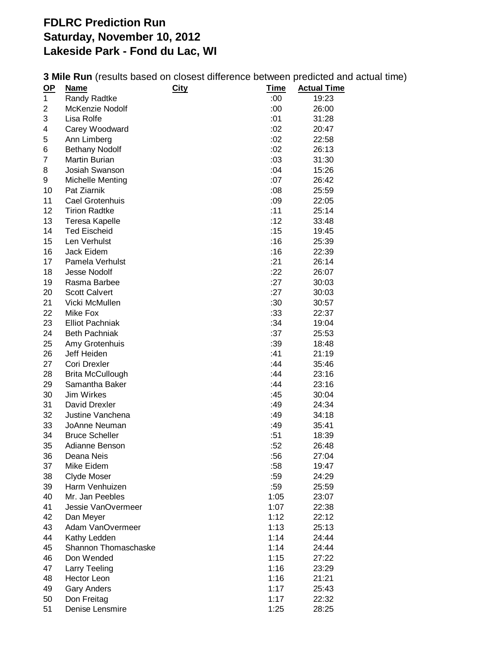## **FDLRC Prediction Run Saturday, November 10, 2012 Lakeside Park - Fond du Lac, WI**

| <b>3 Mile Run</b> (results based on closest difference between predicted and actual time) |  |  |
|-------------------------------------------------------------------------------------------|--|--|
|-------------------------------------------------------------------------------------------|--|--|

| $\overline{OP}$ | <u>Name</u>             | <b>City</b> | <u>Time</u> | <b>Actual Time</b> |
|-----------------|-------------------------|-------------|-------------|--------------------|
| 1               | Randy Radtke            |             | :00         | 19:23              |
| 2               | McKenzie Nodolf         |             | :00         | 26:00              |
| 3               | Lisa Rolfe              |             | :01         | 31:28              |
| 4               | Carey Woodward          |             | :02         | 20:47              |
| 5               | Ann Limberg             |             | :02         | 22:58              |
| 6               | <b>Bethany Nodolf</b>   |             | :02         | 26:13              |
| $\overline{7}$  | Martin Burian           |             | :03         | 31:30              |
| 8               | Josiah Swanson          |             | :04         | 15:26              |
| 9               | Michelle Menting        |             | :07         | 26:42              |
| 10              | Pat Ziarnik             |             | :08         | 25:59              |
| 11              | Cael Grotenhuis         |             | :09         | 22:05              |
| 12              | <b>Tirion Radtke</b>    |             | :11         | 25:14              |
| 13              | Teresa Kapelle          |             | :12         | 33:48              |
| 14              | <b>Ted Eischeid</b>     |             | :15         | 19:45              |
| 15              | Len Verhulst            |             | :16         | 25:39              |
| 16              | Jack Eidem              |             | :16         | 22:39              |
| 17              | Pamela Verhulst         |             | :21         | 26:14              |
| 18              | <b>Jesse Nodolf</b>     |             | :22         | 26:07              |
| 19              | Rasma Barbee            |             | :27         | 30:03              |
| 20              | <b>Scott Calvert</b>    |             | :27         | 30:03              |
| 21              | Vicki McMullen          |             | :30         | 30:57              |
| 22              | Mike Fox                |             | :33         | 22:37              |
| 23              | <b>Elliot Pachniak</b>  |             | :34         | 19:04              |
| 24              | <b>Beth Pachniak</b>    |             | :37         | 25:53              |
| 25              | Amy Grotenhuis          |             | :39         | 18:48              |
| 26              | Jeff Heiden             |             | :41         | 21:19              |
| 27              | Cori Drexler            |             | :44         | 35:46              |
| 28              | <b>Brita McCullough</b> |             | :44         | 23:16              |
| 29              | Samantha Baker          |             | :44         | 23:16              |
| 30              | Jim Wirkes              |             | :45         | 30:04              |
| 31              | David Drexler           |             | :49         | 24:34              |
| 32              | Justine Vanchena        |             | :49         | 34:18              |
| 33              | JoAnne Neuman           |             | :49         | 35:41              |
| 34              | <b>Bruce Scheller</b>   |             | :51         | 18:39              |
| 35              | Adianne Benson          |             | :52         | 26:48              |
| 36              | Deana Neis              |             | :56         | 27:04              |
| 37              | Mike Eidem              |             | :58         | 19:47              |
| 38              | Clyde Moser             |             | :59         | 24:29              |
| 39              | Harm Venhuizen          |             | :59         | 25:59              |
| 40              | Mr. Jan Peebles         |             | 1:05        | 23:07              |
| 41              | Jessie VanOvermeer      |             | 1:07        | 22:38              |
| 42              | Dan Meyer               |             | 1:12        | 22:12              |
| 43              | Adam VanOvermeer        |             | 1:13        | 25:13              |
| 44              | Kathy Ledden            |             | 1:14        | 24:44              |
| 45              | Shannon Thomaschaske    |             | 1:14        | 24:44              |
| 46              | Don Wended              |             | 1:15        | 27:22              |
| 47              | Larry Teeling           |             | 1:16        | 23:29              |
| 48              | Hector Leon             |             | 1:16        | 21:21              |
| 49              | <b>Gary Anders</b>      |             | 1:17        | 25:43              |
| 50              | Don Freitag             |             | 1:17        | 22:32              |
| 51              | Denise Lensmire         |             | 1:25        | 28:25              |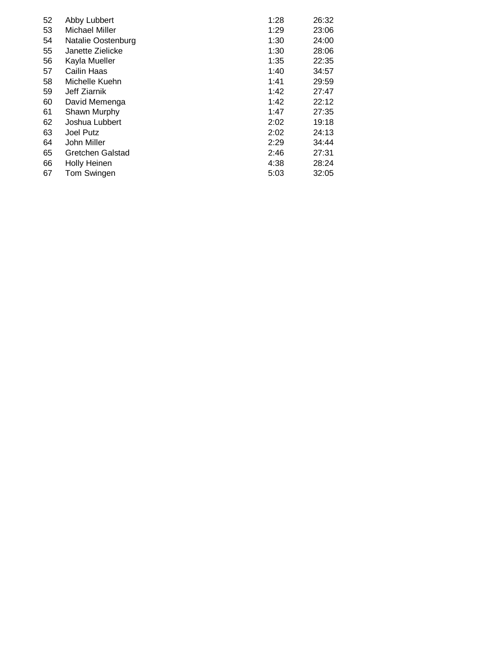| 52 | Abby Lubbert          | 1:28 | 26:32 |
|----|-----------------------|------|-------|
| 53 | <b>Michael Miller</b> | 1:29 | 23:06 |
| 54 | Natalie Oostenburg    | 1:30 | 24:00 |
| 55 | Janette Zielicke      | 1:30 | 28:06 |
| 56 | Kayla Mueller         | 1:35 | 22:35 |
| 57 | Cailin Haas           | 1:40 | 34:57 |
| 58 | Michelle Kuehn        | 1:41 | 29:59 |
| 59 | Jeff Ziarnik          | 1:42 | 27:47 |
| 60 | David Memenga         | 1:42 | 22:12 |
| 61 | Shawn Murphy          | 1:47 | 27:35 |
| 62 | Joshua Lubbert        | 2:02 | 19:18 |
| 63 | Joel Putz             | 2:02 | 24:13 |
| 64 | John Miller           | 2:29 | 34:44 |
| 65 | Gretchen Galstad      | 2:46 | 27:31 |
| 66 | <b>Holly Heinen</b>   | 4:38 | 28:24 |
| 67 | Tom Swingen           | 5:03 | 32:05 |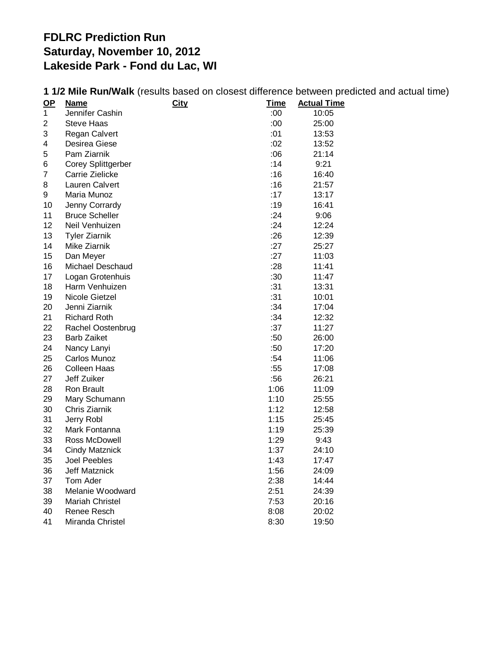## **FDLRC Prediction Run Saturday, November 10, 2012 Lakeside Park - Fond du Lac, WI**

| $OP$           | <b>Name</b>               | <b>City</b> | <u>Time</u> | <b>Actual Time</b> |
|----------------|---------------------------|-------------|-------------|--------------------|
| $\mathbf 1$    | Jennifer Cashin           |             | :00:        | 10:05              |
| 2              | <b>Steve Haas</b>         |             | :00         | 25:00              |
| 3              | Regan Calvert             |             | :01         | 13:53              |
| 4              | Desirea Giese             |             | :02         | 13:52              |
| 5              | Pam Ziarnik               |             | :06         | 21:14              |
| 6              | <b>Corey Splittgerber</b> |             | :14         | 9:21               |
| $\overline{7}$ | Carrie Zielicke           |             | :16         | 16:40              |
| 8              | Lauren Calvert            |             | :16         | 21:57              |
| 9              | Maria Munoz               |             | :17         | 13:17              |
| 10             | Jenny Corrardy            |             | :19         | 16:41              |
| 11             | <b>Bruce Scheller</b>     |             | :24         | 9:06               |
| 12             | Neil Venhuizen            |             | :24         | 12:24              |
| 13             | <b>Tyler Ziarnik</b>      |             | :26         | 12:39              |
| 14             | Mike Ziarnik              |             | :27         | 25:27              |
| 15             | Dan Meyer                 |             | :27         | 11:03              |
| 16             | Michael Deschaud          |             | : 28        | 11:41              |
| 17             | Logan Grotenhuis          |             | :30         | 11:47              |
| 18             | Harm Venhuizen            |             | :31         | 13:31              |
| 19             | Nicole Gietzel            |             | :31         | 10:01              |
| 20             | Jenni Ziarnik             |             | :34         | 17:04              |
| 21             | <b>Richard Roth</b>       |             | :34         | 12:32              |
| 22             | Rachel Oostenbrug         |             | :37         | 11:27              |
| 23             | <b>Barb Zaiket</b>        |             | :50         | 26:00              |
| 24             | Nancy Lanyi               |             | :50         | 17:20              |
| 25             | Carlos Munoz              |             | :54         | 11:06              |
| 26             | <b>Colleen Haas</b>       |             | :55         | 17:08              |
| 27             | Jeff Zuiker               |             | :56         | 26:21              |
| 28             | Ron Brault                |             | 1:06        | 11:09              |
| 29             | Mary Schumann             |             | 1:10        | 25:55              |
| 30             | Chris Ziarnik             |             | 1:12        | 12:58              |
| 31             | Jerry Robl                |             | 1:15        | 25:45              |
| 32             | Mark Fontanna             |             | 1:19        | 25:39              |
| 33             | Ross McDowell             |             | 1:29        | 9:43               |
| 34             | <b>Cindy Matznick</b>     |             | 1:37        | 24:10              |
| 35             | Joel Peebles              |             | 1:43        | 17:47              |
| 36             | Jeff Matznick             |             | 1:56        | 24:09              |
| 37             | Tom Ader                  |             | 2:38        | 14:44              |
| 38             | Melanie Woodward          |             | 2:51        | 24:39              |
| 39             | Mariah Christel           |             | 7:53        | 20:16              |
| 40             | Renee Resch               |             | 8:08        | 20:02              |
| 41             | Miranda Christel          |             | 8:30        | 19:50              |